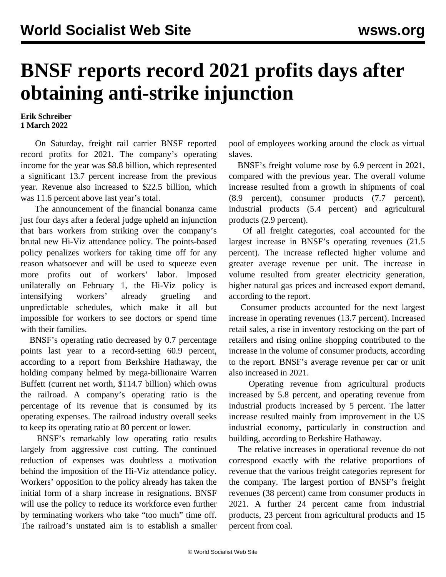## **BNSF reports record 2021 profits days after obtaining anti-strike injunction**

**Erik Schreiber 1 March 2022**

 On Saturday, freight rail carrier BNSF reported record profits for 2021. The company's operating income for the year was \$8.8 billion, which represented a significant 13.7 percent increase from the previous year. Revenue also increased to \$22.5 billion, which was 11.6 percent above last year's total.

 The announcement of the financial bonanza came just four days after a federal judge [upheld an injunction](/en/articles/2022/02/24/pers-f24.html) [that bars workers from striking](/en/articles/2022/02/24/pers-f24.html) over the company's brutal new Hi-Viz attendance policy. The points-based policy penalizes workers for taking time off for any reason whatsoever and will be used to squeeze even more profits out of workers' labor. Imposed unilaterally on February 1, the Hi-Viz policy is intensifying workers' already grueling and unpredictable schedules, which make it all but impossible for workers to see doctors or spend time with their families.

 BNSF's operating ratio decreased by 0.7 percentage points last year to a record-setting 60.9 percent, according to a report from Berkshire Hathaway, the holding company helmed by mega-billionaire Warren Buffett (current net worth, \$114.7 billion) which owns the railroad. A company's operating ratio is the percentage of its revenue that is consumed by its operating expenses. The railroad industry overall seeks to keep its operating ratio at 80 percent or lower.

 BNSF's remarkably low operating ratio results largely from aggressive cost cutting. The continued reduction of expenses was doubtless a motivation behind the imposition of the Hi-Viz attendance policy. Workers' opposition to the policy already has taken the initial form of a sharp increase in resignations. BNSF will use the policy to reduce its workforce even further by terminating workers who take "too much" time off. The railroad's unstated aim is to establish a smaller

pool of employees working around the clock as virtual slaves.

 BNSF's freight volume rose by 6.9 percent in 2021, compared with the previous year. The overall volume increase resulted from a growth in shipments of coal (8.9 percent), consumer products (7.7 percent), industrial products (5.4 percent) and agricultural products (2.9 percent).

 Of all freight categories, coal accounted for the largest increase in BNSF's operating revenues (21.5 percent). The increase reflected higher volume and greater average revenue per unit. The increase in volume resulted from greater electricity generation, higher natural gas prices and increased export demand, according to the report.

 Consumer products accounted for the next largest increase in operating revenues (13.7 percent). Increased retail sales, a rise in inventory restocking on the part of retailers and rising online shopping contributed to the increase in the volume of consumer products, according to the report. BNSF's average revenue per car or unit also increased in 2021.

 Operating revenue from agricultural products increased by 5.8 percent, and operating revenue from industrial products increased by 5 percent. The latter increase resulted mainly from improvement in the US industrial economy, particularly in construction and building, according to Berkshire Hathaway.

 The relative increases in operational revenue do not correspond exactly with the relative proportions of revenue that the various freight categories represent for the company. The largest portion of BNSF's freight revenues (38 percent) came from consumer products in 2021. A further 24 percent came from industrial products, 23 percent from agricultural products and 15 percent from coal.